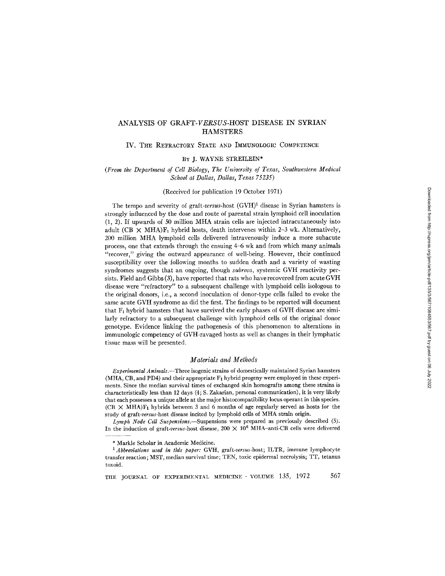# ANALYSIS OF *GRAFT-VERSUS-HOST* DISEASE IN SYRIAN **HAMSTERS**

## IV. THE REFRACTORY STATE AND IMMUNOLOGIC COMPETENCE

#### BY J. WAYNE STREILEIN\*

### *(From the Department of Cell Biology, The University of Texas, Southwestern Medical School at Dallas, Dallas, Texas 75235)*

#### (Received for publication 19 October 1971)

The tempo and severity of graft-versus-host  $(GVH)^{1}$  disease in Syrian hamsters is strongly influenced by the dose and route of parental strain lymphoid cell inoculation (1, 2). If upwards of 50 million MHA strain cells are injected intracutaneously into adult (CB  $\times$  MHA) $F_1$  hybrid hosts, death intervenes within 2-3 wk. Alternatively, 200 million MHA lymphoid cells delivered intravenously induce a more subacute process, one that extends through the ensuing 4-6 wk and from which many animals "recover," giving the outward appearance of well-being. However, their continued susceptibility over the following months to sudden death and a variety of wasting syndromes suggests that an ongoing, though *subrosa,* systemic GVH reactivity persists. Field and Gibbs (3), have reported that rats who have recovered from acute GVH disease were "refractory" to a subsequent challenge with lymphoid cells isologous to the original donors, i.e., a second inoculation of donor-type cells failed to evoke the same acute GVH syndrome as did the first. The findings to be reported will document that F, hybrid hamsters that have survived the early phases of GVH disease are similarly refractory to a subsequent challenge with lymphoid cells of the original donor genotype. Evidence linking the pathogenesis of this phenomenon to alterations in immunologic competency of GVH-ravaged hosts as well as changes in their lymphatic tissue mass will be presented.

## *Materials and Methods*

*Experimental A nimals.--Three* isogenic strains of domestically maintained Syrian hamsters (MHA, CB, and PD4) and their appropriate F1 hybrid progeny were employed in these experiments. Since the median survival times of exchanged skin homografts among these strains is characteristically less than 12 days (4; S. Zakarian, personal communication), it is very likely that each possesses a unique allele at the major histocompatibility locus operant in this species.  $(CB)$   $\times$  MHA)F<sub>1</sub> hybrids between 3 and 6 months of age regularly served as hosts for the study of *graft-versus-host* disease incited by lymphoid cells of MHA strain origin.

*Lymph Node Cell Suspenslons.--Suspensions* were prepared as previously described (5). In the induction of *graft-versus-host* disease, 200 X 106 MHA-anti-CB cells were delivered

<sup>\*</sup> Markle Scholar in Academic Medicine.

<sup>&</sup>lt;sup>1</sup> Abbreviations used in this paper: GVH, graft-versus-host; ILTR, immune lymphocyte transfer reaction; MST, median survival time; TEN, toxic epidermal necrolysis; TT, tetanus toxoid.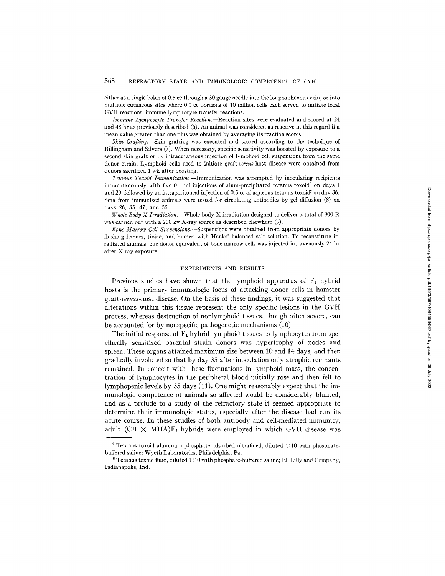either as a single bolus of 0.5 cc through a 30 gauge needle into the long saphenous vein, or into multiple cutaneous sites where 0.I cc portions of 10 million cells each served to initiate local GVH reactions, immune lymphocyte transfer reactions.

*Immune Lymphocyte Transfer Reaction.*—Reaction sites were evaluated and scored at 24 and 48 hr as previously described (6). An animal was considered as reactive in this regard if a mean value greater than one plus was obtained by averaging its reaction scores.

*Skin Grafting.*—Skin grafting was executed and scored according to the technique of Billingham and Silvers (7). When necessary, specific sensitivity was boosted by exposure to a second skin graft or by intracutaneous injection of lymphoid cell suspensions from the same donor strain. Lymphoid cells used to initiate *graft-versus-host* disease were obtained from donors sacrificed 1 wk after boosting.

*Tetanus Toxoid [mmunization.--Immunization* was attempted by inoculating recipients intracutaneously with five 0.1 ml injections of alum-precipitated tetanus toxoid<sup>2</sup> on days 1 and 29, followed by an intraperitoneal injection of 0.5 cc of aqueous tetanus toxoid<sup>3</sup> on day 36. Sera from immunized animals were tested for circulating antibodies by gel diffusion (8) on days 26, 35, 47, and 55.

*Whole Body X-lrradiation.--Whole* body X-irradiation designed to deliver a total of 900 R was carried out with a 200 kv X-ray source as described elsewhere (9).

*Bone Marrow Cell Suspensions.--Suspensions* were obtained from appropriate donors by flushing femurs, tibiae, and humeri with Hanks' balanced salt solution. To reconstitute irradiated animals, one donor equivalent of bone marrow cells was injected intravenously 24 hr after X-ray exposure.

#### EXPERIMENTS AND RESULTS

Previous studies have shown that the lymphoid apparatus of  $F_1$  hybrid hosts is the primary inmmnologic focus of attacking donor cells in hamster *graft-versus-host* disease. On the basis of these findings, it was suggested that alterations within this tissue represent the only specific lesions in the GVH process, whereas destruction of nonlymphoid tissues, though often severe, can be accounted for by nonspecific pathogenetic mechanisms (10).

The initial response of  $F_1$  hybrid lymphoid tissues to lymphocytes from specifically sensitized parental strain donors was hypertrophy of nodes and spleen. These organs attained maximum size between 10 and 14 days, and then gradually involuted so that by day 35 after inoculation only atrophic remnants remained. In concert with these fluctuations in lymphoid mass, the concentration of lymphocytes in the peripheral blood initially rose and then fell to lymphopenic levels by 35 days  $(11)$ . One might reasonably expect that the immunologic competence of animals so affected would be considerably blunted, and as a prelude to a study of the refractory state it seemed appropriate to determine their immunologic status, especially after the disease had run its acute course. In these studies of both antibody and cell-mediated immunity, adult (CB  $\times$  MHA)F<sub>1</sub> hybrids were employed in which GVH disease was

 $2$  Tetanus toxoid aluminum phosphate adsorbed ultrafined, diluted 1:10 with phosphatebuffered saline; Wyeth Laboratories, Philadelphia, Pa.

 $^3$  Tetanus toxoid fluid, diluted 1:10 with phosphate-buffered saline; Eli Lilly and Company, Indianapolis, Ind.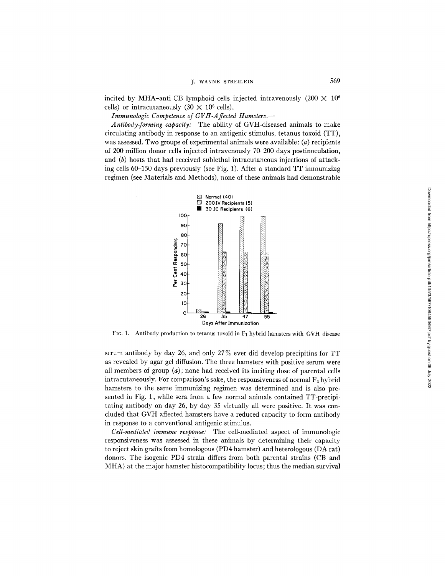incited by MHA-anti-CB lymphoid cells injected intravenously  $(200 \times 10^6$ cells) or intracutaneously  $(30 \times 10^6 \text{ cells})$ .

*Immunologic Competence of GVH-A ffected Hamslers.--* 

*Antibody-forming capacity:* The ability of GVH-diseased animals to make circulating antibody in response to an antigenic stimulus, tetanus toxoid (TT), was assessed. Two groups of experimental animals were available:  $(a)$  recipients of 200 million donor cells injected intravenously 70-200 days postinoculation, and (b) hosts that had received sublethal intracutaneous injections of attacking cells 60-150 days previously (see Fig. 1). After a standard TT immunizing regimen (see Materials and Methods), none of these animals had demonstrable



Fig. 1. Antibody production to tetanus toxoid in F<sub>1</sub> hybrid hamsters with GVH disease

serum antibody by day 26, and only 27 % ever did develop precipitins for TT as revealed by agar gel diffusion. The three hamsters with positive serum were all members of group (a); none had received its inciting dose of parental cells intracutaneously. For comparison's sake, the responsiveness of normal  $F_1$  hybrid hamsters to the same immunizing regimen was determined and is also presented in Fig. 1; while sera from a few normal animals contained TT-precipitating antibody on day 26, by day 35 virtually all were positive. It was concluded that GVH-affected hamsters have a reduced capacity to form antibody in response to a conventional antigenic stimulus.

*Cell-mediated immune response:* The cell-mediated aspect of immunologic responsiveness was assessed in these animals by determining their capacity to reject skin grafts from homologous (PD4 hamster) and heterologous (DA rat) donors. The isogenic PD4 strain differs from both parental strains (CB and MHA) at the major hamster histocompatibility locus; thus the median survival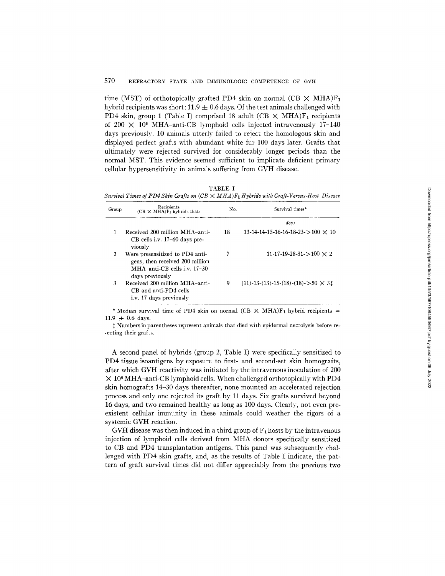### 570 REFRACTORY STATE AND IMMUNOLOGIC COMPETENCE OF GVH

time (MST) of orthotopically grafted PD4 skin on normal (CB  $\times$  MHA)F<sub>1</sub> hybrid recipients was short:  $11.9 \pm 0.6$  days. Of the test animals challenged with PD4 skin, group 1 (Table I) comprised 18 adult (CB  $\times$  MHA)F<sub>1</sub> recipients of 200  $\times$  10<sup>6</sup> MHA-anti-CB lymphoid cells injected intravenously 17-140 days previously. 10 animals utterly failed to reject the homologous skin and displayed perfect grafts with abundant white fur 100 days later. Grafts that ultimately were rejected survived for considerably longer periods than the normal MST. This evidence seemed sufficient to implicate deficient primary cellular hypersensitivity in animals suffering from GVH disease.

TABLE I

*Survival Times of PD4 Skin Grafts on (CB )< MHA )F1 Hybrids with Graft-Versus-Host Disease* 

| Group | Recipients<br>$(CB \times MHA)F_1$ hybrids that:                                                                      | No. | Survival times*                                              |
|-------|-----------------------------------------------------------------------------------------------------------------------|-----|--------------------------------------------------------------|
|       |                                                                                                                       |     | davs                                                         |
|       | Received 200 million MHA-anti-<br>$CB$ cells i.v. 17–60 days pre-<br>viously                                          | 18  | $13-14-14-15-16-16-18-23>100 \times 10$                      |
| 2     | Were presensitized to PD4 anti-<br>gens, then received 200 million<br>MHA-anti-CB cells i.v. 17-30<br>days previously | 7   | $11-17-19-28-31 > 100 \times 2$                              |
| 3     | Received 200 million MHA-anti-<br>CB and anti-PD4 cells<br>i.v. 17 days previously                                    | 9   | $(11)$ -13- $(13)$ -15- $(18)$ - $(18)$ - $>$ 50 $\times$ 31 |

\* Median survival time of PD4 skin on normal (CB  $\times$  MHA)F<sub>1</sub> hybrid recipients =  $11.9 \pm 0.6$  days.

 $\ddagger$  Numbers in parentheses represent animals that died with epidermal necrolysis before re-.ecting their grafts.

A second panel of hybrids (group 2, Table I) were specifically sensitized to PD4 tissue isoantigens by exposure to first- and second-set skin homografts, after which GVH reactivity was initiated by the intravenous inoculation of 200  $\times$  10<sup>6</sup> MHA-anti-CB lymphoid cells. When challenged orthotopically with PD4 skin homografts 14-30 days thereafter, none mounted an accelerated rejection process and only one rejected its graft by 11 days. Six grafts survived beyond 16 days, and two remained healthy as long as 100 days. Clearly, not even preexistent cellular immunity in these animals could weather the rigors of a systemic GVH reaction.

GVH disease was then induced in a third group of  $F_1$  hosts by the intravenous injection of lymphoid cells derived from MHA donors specifically sensitized to CB and PD4 transplantation antigens. This panel was subsequently challenged with PD4 skin grafts, and, as the results of Table I indicate, the pattern of graft survival times did not differ appreciably from the previous two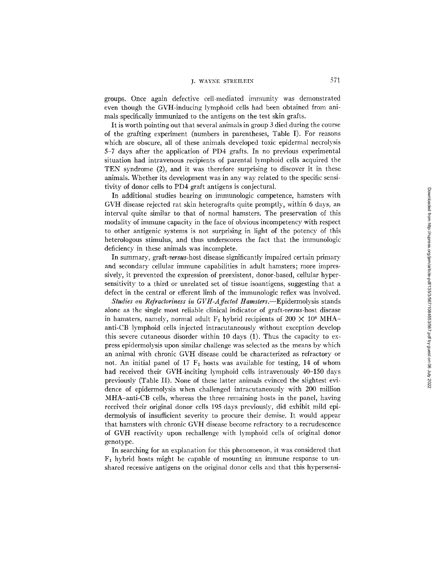# J. WAYNE STREILEIN 571

groups. Once again defective cell-mediated immunity was demonstrated even though the GVH-inducing lymphoid cells had been obtained from animals specifically immunized to the antigens on the test skin grafts.

It is worth pointing out that several animals in group 3 died during the course of the grafting experiment (numbers in parentheses, Table I). For reasons which are obscure, all of these animals developed toxic epidermal necrolysis 5-7 days after the application of PD4 grafts. In no previous experimental situation had intravenous recipients of parental lymphoid cells acquired the TEN syndrome (2), and it was therefore surprising to discover it in these animals. Whether its development was in any way related to the specific sensitivity of donor cells to PD4 graft antigens is conjectural.

In additional studies bearing on immunologic competence, hamsters with GVH disease rejected rat skin heterografts quite promptly, within 6 days, an interval quite similar to that of normal hamsters. The preservation of this modality of immune capacity in the face of obvious incompetency with respect to other antigenic systems is not surprising in light of the potency of this heterologous stimulus, and thus underscores the fact that the immunologic deficiency in these animals was incomplete.

In summary, *graft-versus-host* disease significantly impaired certain primary and secondary cellular immune capabilities in adult hamsters; more impressively, it prevented the expression of preexistent, donor-based, cellular hypersensitivity to a third or unrelated set of tissue isoantigens, suggesting that a defect in the central or efferent limb of the immunologic reflex was involved.

*Studies on Refractoriness in GVH-Affected Hamsters.*—Epidermolysis stands alone as the single most reliable clinical indicator of *graft-versus-host* disease in hamsters, namely, normal adult F<sub>1</sub> hybrid recipients of  $200 \times 10^6$  MHAanti-CB lymphoid cells injected intracutaneously without exception develop this severe cutaneous disorder within 10 days (1). Thus the capacity to express epidermolysis upon similar challenge was selected as the means by which an animal with chronic GVH disease could be characterized as refractory or not. An initial panel of 17  $F_1$  hosts was available for testing, 14 of whom had received their GVH-inciting lymphoid cells intravenously 40-150 days previously (Table II). None of these latter animals evinced the slightest evidence of epidermolysis when challenged intracutaneously with 200 million MHA-anti-CB cells, whereas the three remaining hosts in the panel, having received their original donor cells 195 days previously, did exhibit mild epidermolysis of insufficient severity to procure their demise. It would appear that hamsters with chronic GVH disease become refractory to a recrudescence of GVH reactivity upon rechallenge with lymphoid cells of original donor genotype.

In searching for an explanation for this phenomenon, it was considered that  $F_1$  hybrid hosts might be capable of mounting an immune response to unshared recessive antigens on the original donor cells and that this hypersensi-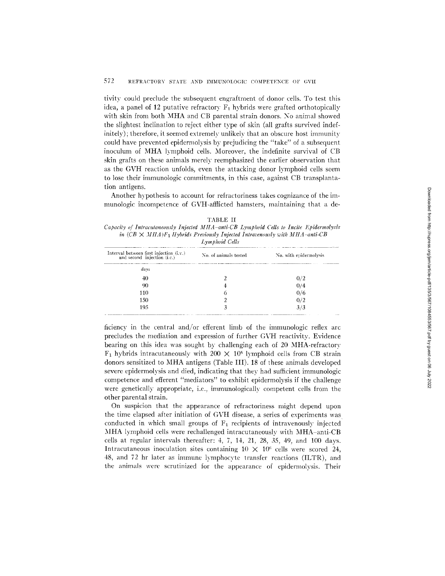## 572 REFRACTORY STATE AND IMMUNOLOGIC COMPETENCE OF GVH

tivitv could preclude the subsequent engraftment of donor cells. To test this idea, a panel of 12 putative refractory  $F_1$  hybrids were grafted orthotopically with skin from both MHA and CB parental strain donors. No animal showed the slightest inclination to reject either type of skin (all grafts survived indefinitely); therefore, it seemed extremely unlikely that an obscure host inmmnity could have prevented epidermolysis by prejudicing the "take" of a subsequent inoculum of MHA lymphoid cells. Moreover, the indefinite survival of CB skin grafts on these animals merely reemphasized the earlier observation that as the GVH reaction unfolds, even the attacking donor lymphoid cells seem to lose their immunologic commitments, in this case, against CB transplantation antigens.

Another hypothesis to account for refractoriness takes cognizance of the immunologic incompetence of GVH-affticted hamsters, maintaining that a de-

|--|

*Capacity of Inlracutaneously Injected MHA anti-CB Lymphoid ('ells to Incite Epidermolysis in*  $(CB \times MHA)F_1$  *Hybrids Previously Injected Intravenously with MHA-anti-CB Lymphoid Cells* 

| Interval between first injection $(i.v.)$<br>and second injection (i.c.) | No. of animals tested | No. with epidermolysis |  |
|--------------------------------------------------------------------------|-----------------------|------------------------|--|
| davs                                                                     |                       |                        |  |
| 40                                                                       |                       |                        |  |
| 90                                                                       |                       | 074                    |  |
| 110                                                                      |                       | 0/6                    |  |
| 150                                                                      |                       | 072                    |  |
| 195                                                                      |                       | 3/3                    |  |

ficiency in the central and/or efferent limb of the immunologic reflex arc precludes the mediation and expression of further GVH reactivitv. Evidence bearing on this idea was sought by challenging each of 20 MHA-refractorv  $F_1$  hybrids intracutaneously with 200  $\times$  10<sup>6</sup> lymphoid cells from CB strain donors sensitized to MHA antigens (Table III). 18 of these animals developed severe epidermolysis and died, indicating that they had sufficient immunologic competence and efferent "mediators" to exhibit epidermolysis if the challenge were genetically appropriate, i.e., immunologically competent cells from the other parental strain.

On suspicion that the appearance of refractoriness might depend upon the time elapsed after initiation of GVH disease, a series of experiments was conducted in which small groups of  $F_1$  recipients of intravenously injected MHA lymphoid cells were rechallenged intracutaneously with MHA-anti-CB cells at regular intervals thereafter: 4, 7, 14, 21, 28, 35, 49, and 100 days. Intracutaneous inoculation sites containing  $10 \times 10^6$  cells were scored 24, 48, and 72 hr later as immune lymphocyte transfer reactions (ILTR), and the animals were scrutinized for the appearance of epidermolysis. Their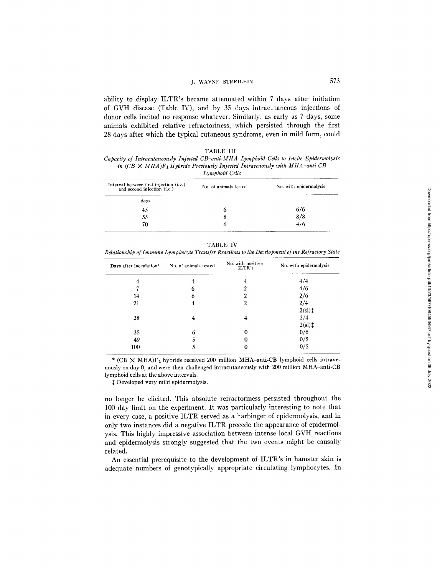# J. WAYNE STREILEIN 573

ability to display ILTR's became attenuated within 7 days after initiation of GVH disease (Table IV), and by 35 days intracutaneous injections of donor cells incited no response whatever. Similarly, as early as 7 days, some animals exhibited relative refractoriness, which persisted through the first 28 days after which the typical cutaneous syndrome, even in mild form, could

|  |  | "ABL | E |  |  |
|--|--|------|---|--|--|
|--|--|------|---|--|--|

*Capacity of Intracutaneously Injected CB-anti-MHA Lymphoid Cells to Incite Epidermolysis in*  $(CB \times MHA)F_1$  Hybrids Previously Injected Intravenously with MHA-anti-CB *Lymphoid Calls* 

|                                                                            | ______________        |                        |  |
|----------------------------------------------------------------------------|-----------------------|------------------------|--|
| Interval between first injection $(i.v.)$<br>and second injection $(i.c.)$ | No. of animals tested | No. with epidermolysis |  |
| days                                                                       |                       |                        |  |
| 45                                                                         | Ð                     | 6/6                    |  |
| 55                                                                         | 8                     | 8/8                    |  |
| 70                                                                         | n                     | 4/6                    |  |
|                                                                            |                       |                        |  |

TABLE IV

*Relationship of Immune Lymphocyte Transfer Reactions to the Development of the Refractory State* 

| Days after inoculation* | No. of animals tested | No. with positive<br>ILTR's | No. with epidermolysis |
|-------------------------|-----------------------|-----------------------------|------------------------|
| 4                       | 4                     | 4                           | 4/4                    |
|                         | 6                     | າ                           | 4/6                    |
| 14                      | 6                     | າ                           | 2/6                    |
| 21                      | 4                     | 2                           | 2/4                    |
|                         |                       |                             | $2(sl)$ ‡              |
| 28                      | 4                     | 4                           | 2/4                    |
|                         |                       |                             | $2$ (sl) $\ddagger$    |
| 35                      | 6                     |                             | 0/6                    |
| 49                      |                       |                             | 0/5                    |
| 100                     | 5                     |                             | 0/5                    |

\* (CB  $\times$  MHA)F<sub>1</sub> hybrids received 200 million MHA-anti-CB lymphoid cells intravenously on day 0, and were then challenged intracutaneously with 200 million MHA-anti-CB lymphoid cells at the above intervals.

Developed very mild epidermolysis.

no longer be elicited. This absolute refractoriness persisted throughout the 100 day limit on the experiment. It was particularly interesting to note that in every case, a positive ILTR served as a harbinger of epidermolysis, and in only two instances did a negative ILTR precede the appearance of epidermolysis. This highly impressive association between intense local GVH reactions and epidermolysis strongly suggested that the two events might be causally related.

An essential prerequisite to the development of ILTR's in hamster skin is adequate numbers of genotypically appropriate circulating lymphocytes. In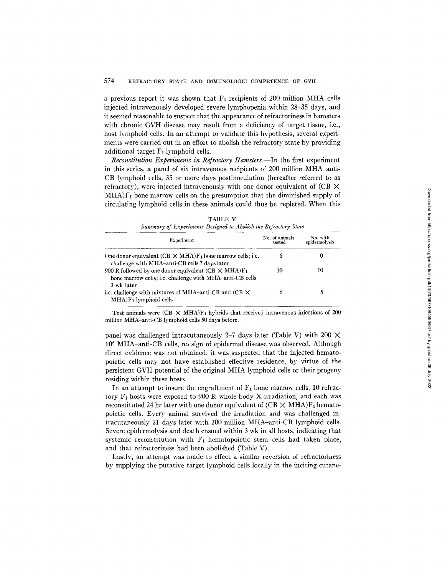a previous report it was shown that  $F_1$  recipients of 200 million MHA cells injected intravenously developed severe lymphopenia within 28–35 days, and it seemed reasonable to suspect that the appearance of refractoriness in hamsters with chronic GVH disease may result from a deficiency of target tissue, i.e., host lymphoid cells. In an attempt to validate this hypothesis, several experiments were carried out in an effort to abolish the refractory state by providing additional target  $F_1$  lymphoid cells.

*Reconstitution Experiments in Refractory Hamsters.--In* the first experiment in this series, a panel of six intravenous recipients of 200 million MHA-anti-CB lymphoid cells, 35 or more days postinoculation (hereafter referred to as refractory), were injected intravenously with one donor equivalent of  $(CB \times$  $MHA$ ) $F<sub>1</sub>$  bone marrow cells on the presumption that the diminished supply of circulating lymphoid cells in these animals could thus be repleted. When this

| community of the parameters to confirm to secure the staff weight crain.<br>Experiment                                             | No. of animals<br>tested | No. with<br>epidermolysis |  |
|------------------------------------------------------------------------------------------------------------------------------------|--------------------------|---------------------------|--|
|                                                                                                                                    |                          |                           |  |
| One donor equivalent $(CB \times MHA)F_1$ bone marrow cells; i.c.<br>challenge with MHA-anti-CB cells 7 days later                 |                          |                           |  |
| 900 R followed by one donor equivalent (CB $\times$ MHA)F <sub>1</sub><br>bone marrow cells; i.c. challenge with MHA-anti-CB cells | 10                       | 10                        |  |
| 3 wk later                                                                                                                         |                          |                           |  |
| i.c. challenge with mixtures of MHA-anti-CB and (CB $\times$<br>$MHA$ ) $F_1$ lymphoid cells                                       |                          |                           |  |

TABLE V *Summary of Experiments Designed to Abolish the Refractory State* 

Test animals were (CB  $\times$  MHA)F<sub>1</sub> hybrids that received intravenous injections of 200 million MHA-anti-CB lymphoid ceils 50 days before.

panel was challenged intracutaneously 2-7 days later (Table V) with 200  $\times$ 106 MHA-anti-CB ceils, no sign of epidermal disease was observed. Although direct evidence was not obtained, it was suspected that the injected hematopoietic cells may not have established effective residence, by virtue of the persistent GVH potential of the original MHA lymphoid cells or their progeny residing within these hosts.

In an attempt to insure the engraftment of  $F_1$  bone marrow cells, 10 refractory  $F_1$  hosts were exposed to 900 R whole body X-irradiation, and each was reconstituted 24 hr later with one donor equivalent of  $(CB \times MHA)F_1$  hematopoietic cells. Every animal survived the irradiation and was challenged intracutaneously 21 days later with 200 million MHA-anti-CB lymphoid cells. Severe epidermolysis and death ensued within 3 wk in all hosts, indicating that systemic reconstitution with  $F_1$  hematopoietic stem cells had taken place, and that refractoriness had been abolished (Table V).

Lastly, an attempt was made to effect a similar reversion of refractoriness by supplying the putative target lymphoid cells locally in the inciting cutane-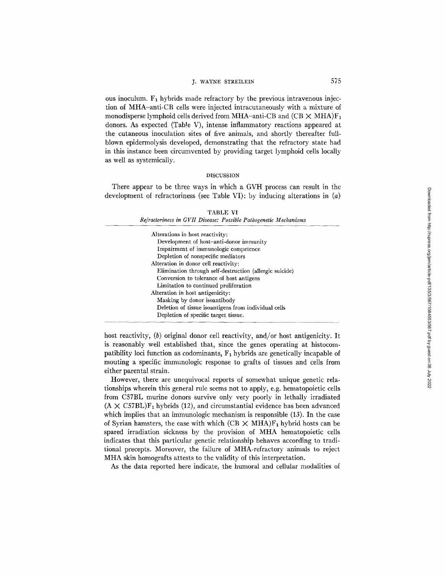## j. WAYNE STREILEIN 575

ous inoculum.  $F_1$  hybrids made refractory by the previous intravenous injection of MHA-anti-CB cells were injected intracutaneously with a mixture of monodisperse lymphoid cells derived from MHA-anti-CB and  $(CB \times MHA)F_1$ donors. As expected (TabIe V), intense inflammatory reactions appeared at the cutaneous inoculation sites of five animals, and shortly thereafter fullblown epidermolysis developed, demonstrating that the refractory state had in this instance been circumvented by providing target lymphoid cells locally as well as systemically.

#### DISCUSSION

There appear to be three ways in which a GVH process can result in the development of refractoriness (see Table VI): by inducing alterations in (a)

### TABLE VI

| Alterations in host reactivity:                         |
|---------------------------------------------------------|
| Development of host-anti-donor immunity                 |
| Impairment of immunologic competence                    |
| Depletion of nonspecific mediators                      |
| Alteration in donor cell reactivity:                    |
| Elimination through self-destruction (allergic suicide) |
| Conversion to tolerance of host antigens                |
| Limitation to continued proliferation                   |
| Alteration in host antigenicity:                        |
| Masking by donor isoantibody                            |
| Deletion of tissue isoantigens from individual cells    |
| Depletion of specific target tissue.                    |

host reactivity, (b) original donor cell reactivity, and/or host antigenicity. It is reasonably well established that, since the genes operating at histocompatibility loci function as codominants,  $F_1$  hybrids are genetically incapable of mouting a specific immunologic response to grafts of tissues and cells from either parental strain.

However, there are unequivocal reports of somewhat unique genetic relationships wherein this general rule seems not to apply, e.g. hematopoietic cells from C57BL murine donors survive only very poorly in lethally irradiated  $(A \times C57BL)F_1$  hybrids (12), and circumstantial evidence has been advanced which implies that an immunologic mechanism is responsible  $(13)$ . In the case of Syrian hamsters, the ease with which  $(CB \times MHA)F_1$  hybrid hosts can be spared irradiation sickness by the provision of MHA hematopoietic cells indicates that this particular genetic relationship behaves according to traditional precepts. Moreover, the failure of MHA-refractory animals to reject MHA skin homografts attests to the validity of this interpretation.

As the data reported here indicate, the humoral and cellular modalities of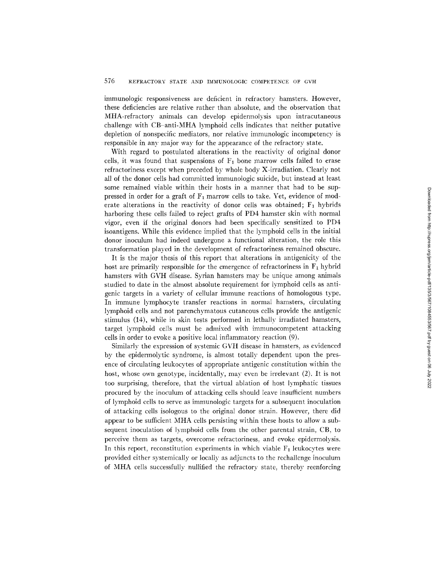immunologic responsiveness are deficient in refractory hamsters. However, these deficiencies are relative rather than absolute, and the observation that MHA-refractory animals can develop epidermolysis upon intracutaneous challenge with CB-anti-MHA lymphoid cells indicates that neither putative depletion of nonspecific mediators, nor relative immunologic incompetency is responsible in any major way for the appearance of the refractory state.

With regard to postulated alterations in the reactivity of original donor cells, it was found that suspensions of  $F_1$  bone marrow cells failed to erase refractoriness except when preceded by whole body X-irradiation. Clearly not all of the donor cells had committed immunologic suicide, but instead at least some remained viable within their hosts in a manner that had to be suppressed in order for a graft of  $F_1$  marrow cells to take. Yet, evidence of moderate alterations in the reactivity of donor cells was obtained;  $F_1$  hybrids harboring these cells failed to reject grafts of PD4 hamster skin with normal vigor, even if the original donors had been specifically sensitized to PD4 isoantigens. While this evidence implied that the lymphoid cells in the initial donor inoculum had indeed undergone a functional alteration, the role this transformation played in the development of refractoriness remained obscure.

It is the major thesis of this report that alterations in antigenicity of the host are primarily responsible for the emergence of refractoriness in  $F_1$  hybrid hamsters with GVH disease. Syrian hamsters may be unique among animals studied to date in the almost absolute requirement for lymphoid cells as antigenic targets in a variety of cellular immune reactions of homologous type. In immune lymphocyte transfer reactions in normal hamsters, circulating lymphoid cells and not parenchymatous cutaneous cells provide the antigenic stimulus (14), while in skin tests performed in lethally irradiated hamsters, target lymphoid cells must be admixed with immunocompetent attacking cells in order to evoke a positive local inflammatory reaction (9).

Similarly the expression of systemic GVH disease in hamsters, as evidenced by the epidermolytic syndrome, is almost totally dependent upon the presence of circulating leukocytes of appropriate antigenic constitution within the host, whose own genotype, incidentally, may even be irrelevant (2). It is not too surprising, therefore, that the virtual ablation of host lymphatic tissues procured by the inoculum of attacking cells should leave insufficient numbers of lymphoid cells to serve as immunologic targets for a subsequent inoculation of attacking cells isologous to the original donor strain. However, there did appear to be sufficient MHA cells persisting within these hosts to allow a subsequent inoculation of lymphoid cells from the other parental strain, CB, to perceive them as targets, overcome refractoriness, and evoke epidermolysis. In this report, reconstitution experiments in which viable  $F_1$  leukocytes were provided either systemically or locally as adjuncts to the rechallenge inoculum of MHA cells successfully nullified the refractory state, thereby reenforcing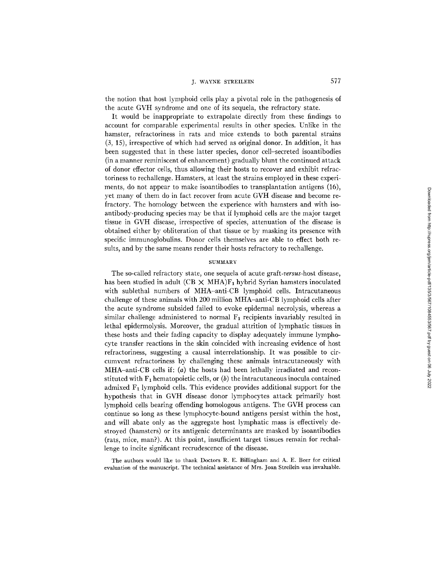## J. WAYNE STREILEIN 577

the notion that host lymphoid cells play a pivotal role in the pathogenesis of the acute GVH syndrome and one of its sequela, the refractory state.

It would be inappropriate to extrapolate directly from these findings to account for comparable experimental results in other species. Unlike in the hamster, refractoriness in rats and mice extends to both parental strains (3, 15), irrespective of which had served as original donor. In addition, it has been suggested that in these latter species, donor cell-secreted isoantibodies (in a manner reminiscent of enhancement) gradually blunt the continued attack of donor effector cells, thus allowing their hosts to recover and exhibit refractoriness to rechallenge. Hamsters, at least the strains employed in these experiments, do not appear to make isoantibodies to transplantation antigens (16), yet many of them do in fact recover from acute GVH disease and become refractory. The homology between the experience with hamsters and with isoantibody-producing species may be that if lymphoid cells are the major target tissue in GVH disease, irrespective of species, attenuation of the disease is obtained either by obliteration of that tissue or by masking its presence with specific immunoglobulins. Donor cells themselves are able to effect both results, and by the same means render their hosts refractory to rechallenge.

### SUMMARY

The so-cailed refractory state, one sequela of acute *graft-versus-host* disease, has been studied in adult (CB  $\times$  MHA)F<sub>1</sub> hybrid Syrian hamsters inoculated with sublethal numbers of MHA-anti-CB lymphoid cells. Intracutaneous challenge of these animals with 200 million MHA-anti-CB lymphoid cells after the acute syndrome subsided failed to evoke epidermal necrolysis, whereas a similar challenge administered to normal  $F_1$  recipients invariably resulted in lethal epidermolysis. Moreover, the gradual attrition of lymphatic tissues in these hosts and their fading capacity to display adequately immune lymphocyte transfer reactions in the skin coincided with increasing evidence of host refractoriness, suggesting a causal interrelationship. It was possible to circumvent refractoriness by challenging these animals intracutaneously with MHA-anti-CB cells if:  $(a)$  the hosts had been lethally irradiated and reconstituted with  $F_1$  hematopoietic cells, or (b) the intracutaneous inocula contained admixed  $F_1$  lymphoid cells. This evidence provides additional support for the hypothesis that in GVH disease donor lymphocytes attack primarily host lymphoid cells bearing offending homologous antigens. The GVH process can continue so long as these lymphocyte-bound antigens persist within the host, and will abate only as the aggregate host lymphatic mass is effectively destroyed (hamsters) or its antigenic determinants are masked by isoantibodies (rats, mice, man?). At this point, insufficient target tissues remain for rechallenge to incite significant recrudescence of the disease.

The authors would like to thank Doctors R. E. Billingham and A. E. Beer for critical evaluation of the manuscript. The technical assistance of Mrs. Joan Streilein was invaluable.